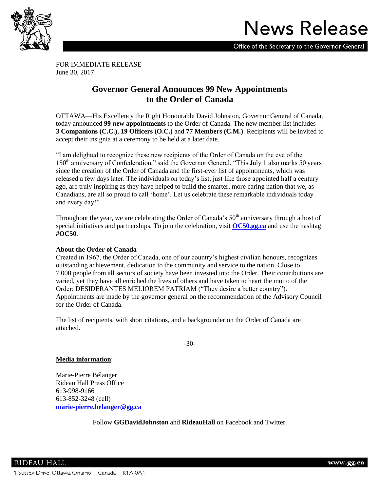

# **News Release**

Office of the Secretary to the Governor General

FOR IMMEDIATE RELEASE June 30, 2017

# **Governor General Announces 99 New Appointments to the Order of Canada**

OTTAWA—His Excellency the Right Honourable David Johnston, Governor General of Canada, today announced **99 new appointments** to the Order of Canada. The new member list includes **3 Companions (C.C.)**, **19 Officers (O.C.)** and **77 Members (C.M.)**. Recipients will be invited to accept their insignia at a ceremony to be held at a later date.

"I am delighted to recognize these new recipients of the Order of Canada on the eve of the 150<sup>th</sup> anniversary of Confederation," said the Governor General. "This July 1 also marks 50 years since the creation of the Order of Canada and the first-ever list of appointments, which was released a few days later. The individuals on today's list, just like those appointed half a century ago, are truly inspiring as they have helped to build the smarter, more caring nation that we, as Canadians, are all so proud to call 'home'. Let us celebrate these remarkable individuals today and every day!"

Throughout the year, we are celebrating the Order of Canada's  $50<sup>th</sup>$  anniversary through a host of special initiatives and partnerships. To join the celebration, visit **[OC50.gg.ca](http://oc50.gg.ca/en/oc50/)** and use the hashtag **#OC50**.

# **About the Order of Canada**

Created in 1967, the Order of Canada, one of our country's highest civilian honours, recognizes outstanding achievement, dedication to the community and service to the nation. Close to 7 000 people from all sectors of society have been invested into the Order. Their contributions are varied, yet they have all enriched the lives of others and have taken to heart the motto of the Order: DESIDERANTES MELIOREM PATRIAM ("They desire a better country"). Appointments are made by the governor general on the recommendation of the Advisory Council for the Order of Canada.

The list of recipients, with short citations, and a backgrounder on the Order of Canada are attached.

-30-

# **Media information**:

Marie-Pierre Bélanger Rideau Hall Press Office 613-998-9166 613-852-3248 (cell) **[marie-pierre.belanger@gg.ca](mailto:marie-pierre.belanger@gg.ca)**

Follow **GGDavidJohnston** and **RideauHall** on Facebook and Twitter.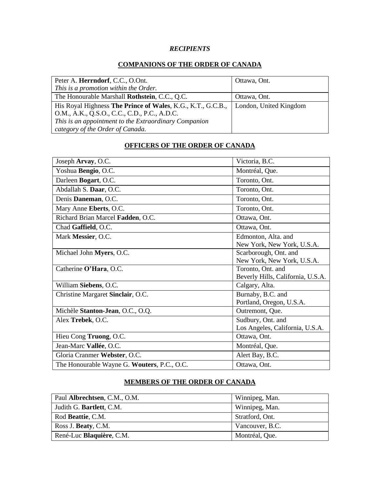# *RECIPIENTS*

# **COMPANIONS OF THE ORDER OF CANADA**

| Peter A. Herrndorf, C.C., O.Ont.                            | Ottawa, Ont.           |
|-------------------------------------------------------------|------------------------|
| This is a promotion within the Order.                       |                        |
| The Honourable Marshall Rothstein, C.C., Q.C.               | Ottawa, Ont.           |
| His Royal Highness The Prince of Wales, K.G., K.T., G.C.B., | London, United Kingdom |
| O.M., A.K., Q.S.O., C.C., C.D., P.C., A.D.C.                |                        |
| This is an appointment to the Extraordinary Companion       |                        |
| category of the Order of Canada.                            |                        |

# **OFFICERS OF THE ORDER OF CANADA**

| Joseph Arvay, O.C.                          | Victoria, B.C.                                         |
|---------------------------------------------|--------------------------------------------------------|
| Yoshua Bengio, O.C.                         | Montréal, Que.                                         |
| Darleen Bogart, O.C.                        | Toronto, Ont.                                          |
| Abdallah S. Daar, O.C.                      | Toronto, Ont.                                          |
| Denis Daneman, O.C.                         | Toronto, Ont.                                          |
| Mary Anne Eberts, O.C.                      | Toronto, Ont.                                          |
| Richard Brian Marcel Fadden, O.C.           | Ottawa, Ont.                                           |
| Chad Gaffield, O.C.                         | Ottawa, Ont.                                           |
| Mark Messier, O.C.                          | Edmonton, Alta. and<br>New York, New York, U.S.A.      |
| Michael John Myers, O.C.                    | Scarborough, Ont. and<br>New York, New York, U.S.A.    |
| Catherine O'Hara, O.C.                      | Toronto, Ont. and<br>Beverly Hills, California, U.S.A. |
| William Siebens, O.C.                       | Calgary, Alta.                                         |
| Christine Margaret Sinclair, O.C.           | Burnaby, B.C. and<br>Portland, Oregon, U.S.A.          |
| Michèle Stanton-Jean, O.C., O.Q.            | Outremont, Que.                                        |
| Alex Trebek, O.C.                           | Sudbury, Ont. and<br>Los Angeles, California, U.S.A.   |
| Hieu Cong Truong, O.C.                      | Ottawa, Ont.                                           |
| Jean-Marc Vallée, O.C.                      | Montréal, Que.                                         |
| Gloria Cranmer Webster, O.C.                | Alert Bay, B.C.                                        |
| The Honourable Wayne G. Wouters, P.C., O.C. | Ottawa, Ont.                                           |

# **MEMBERS OF THE ORDER OF CANADA**

| Paul Albrechtsen, C.M., O.M. | Winnipeg, Man.  |
|------------------------------|-----------------|
| Judith G. Bartlett, C.M.     | Winnipeg, Man.  |
| Rod Beattie, C.M.            | Stratford, Ont. |
| Ross J. Beaty, C.M.          | Vancouver, B.C. |
| René-Luc Blaquière, C.M.     | Montréal, Que.  |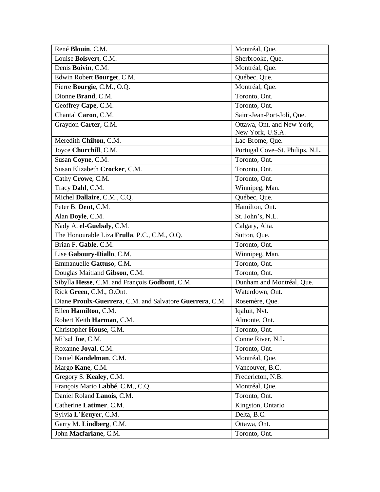| René Blouin, C.M.                                        | Montréal, Que.                  |
|----------------------------------------------------------|---------------------------------|
| Louise Boisvert, C.M.                                    | Sherbrooke, Que.                |
| Denis Boivin, C.M.                                       | Montréal, Que.                  |
| Edwin Robert Bourget, C.M.                               | Québec, Que.                    |
| Pierre Bourgie, C.M., O.Q.                               | Montréal, Que.                  |
| Dionne Brand, C.M.                                       | Toronto, Ont.                   |
| Geoffrey Cape, C.M.                                      | Toronto, Ont.                   |
| Chantal Caron, C.M.                                      | Saint-Jean-Port-Joli, Que.      |
| Graydon Carter, C.M.                                     | Ottawa, Ont. and New York,      |
|                                                          | New York, U.S.A.                |
| Meredith Chilton, C.M.                                   | Lac-Brome, Que.                 |
| Joyce Churchill, C.M.                                    | Portugal Cove-St. Philips, N.L. |
| Susan Coyne, C.M.                                        | Toronto, Ont.                   |
| Susan Elizabeth Crocker, C.M.                            | Toronto, Ont.                   |
| Cathy Crowe, C.M.                                        | Toronto, Ont.                   |
| Tracy Dahl, C.M.                                         | Winnipeg, Man.                  |
| Michel Dallaire, C.M., C.Q.                              | Québec, Que.                    |
| Peter B. Dent, C.M.                                      | Hamilton, Ont.                  |
| Alan Doyle, C.M.                                         | St. John's, N.L.                |
| Nady A. el-Guebaly, C.M.                                 | Calgary, Alta.                  |
| The Honourable Liza Frulla, P.C., C.M., O.Q.             | Sutton, Que.                    |
| Brian F. Gable, C.M.                                     | Toronto, Ont.                   |
| Lise Gaboury-Diallo, C.M.                                | Winnipeg, Man.                  |
| Emmanuelle Gattuso, C.M.                                 | Toronto, Ont.                   |
| Douglas Maitland Gibson, C.M.                            | Toronto, Ont.                   |
| Sibylla Hesse, C.M. and François Godbout, C.M.           | Dunham and Montréal, Que.       |
| Rick Green, C.M., O.Ont.                                 | Waterdown, Ont.                 |
| Diane Proulx-Guerrera, C.M. and Salvatore Guerrera, C.M. | Rosemère, Que.                  |
| Ellen Hamilton, C.M.                                     | Iqaluit, Nvt.                   |
| Robert Keith Harman, C.M.                                | Almonte, Ont.                   |
| Christopher House, C.M.                                  | Toronto, Ont.                   |
| Mi'sel Joe, C.M.                                         | Conne River, N.L.               |
| Roxanne Joyal, C.M.                                      | Toronto, Ont.                   |
| Daniel Kandelman, C.M.                                   | Montréal, Que.                  |
| Margo Kane, C.M.                                         | Vancouver, B.C.                 |
| Gregory S. Kealey, C.M.                                  | Fredericton, N.B.               |
| François Mario Labbé, C.M., C.Q.                         | Montréal, Que.                  |
| Daniel Roland Lanois, C.M.                               | Toronto, Ont.                   |
| Catherine Latimer, C.M.                                  | Kingston, Ontario               |
| Sylvia L'Écuyer, C.M.                                    | Delta, B.C.                     |
| Garry M. Lindberg, C.M.                                  | Ottawa, Ont.                    |
| John Macfarlane, C.M.                                    | Toronto, Ont.                   |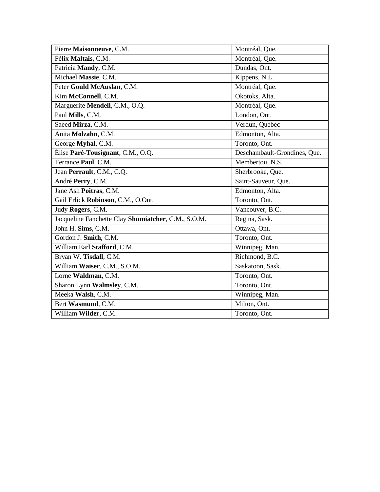| Pierre Maisonneuve, C.M.                            | Montréal, Que.               |
|-----------------------------------------------------|------------------------------|
| Félix Maltais, C.M.                                 | Montréal, Que.               |
| Patricia Mandy, C.M.                                | Dundas, Ont.                 |
| Michael Massie, C.M.                                | Kippens, N.L.                |
| Peter Gould McAuslan, C.M.                          | Montréal, Que.               |
| Kim McConnell, C.M.                                 | Okotoks, Alta.               |
| Marguerite Mendell, C.M., O.Q.                      | Montréal, Que.               |
| Paul Mills, C.M.                                    | London, Ont.                 |
| Saeed Mirza, C.M.                                   | Verdun, Quebec               |
| Anita Molzahn, C.M.                                 | Edmonton, Alta.              |
| George Myhal, C.M.                                  | Toronto, Ont.                |
| Élise Paré-Tousignant, C.M., O.Q.                   | Deschambault-Grondines, Que. |
| Terrance Paul, C.M.                                 | Membertou, N.S.              |
| Jean Perrault, C.M., C.Q.                           | Sherbrooke, Que.             |
| André Perry, C.M.                                   | Saint-Sauveur, Que.          |
| Jane Ash Poitras, C.M.                              | Edmonton, Alta.              |
| Gail Erlick Robinson, C.M., O.Ont.                  | Toronto, Ont.                |
| Judy Rogers, C.M.                                   | Vancouver, B.C.              |
| Jacqueline Fanchette Clay Shumiatcher, C.M., S.O.M. | Regina, Sask.                |
| John H. Sims, C.M.                                  | Ottawa, Ont.                 |
| Gordon J. Smith, C.M.                               | Toronto, Ont.                |
| William Earl Stafford, C.M.                         | Winnipeg, Man.               |
| Bryan W. Tisdall, C.M.                              | Richmond, B.C.               |
| William Waiser, C.M., S.O.M.                        | Saskatoon, Sask.             |
| Lorne Waldman, C.M.                                 | Toronto, Ont.                |
| Sharon Lynn Walmsley, C.M.                          | Toronto, Ont.                |
| Meeka Walsh, C.M.                                   | Winnipeg, Man.               |
| Bert Wasmund, C.M.                                  | Milton, Ont.                 |
| William Wilder, C.M.                                | Toronto, Ont.                |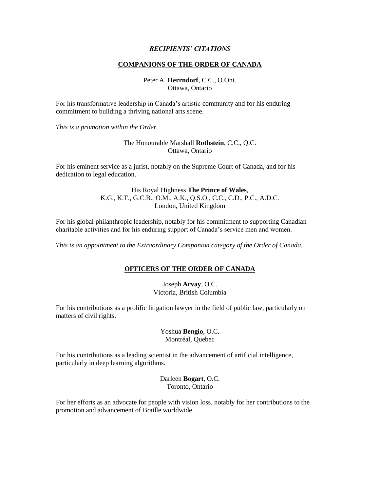# *RECIPIENTS' CITATIONS*

#### **COMPANIONS OF THE ORDER OF CANADA**

Peter A. **Herrndorf**, C.C., O.Ont. Ottawa, Ontario

For his transformative leadership in Canada's artistic community and for his enduring commitment to building a thriving national arts scene.

*This is a promotion within the Order.*

# The Honourable Marshall **Rothstein**, C.C., Q.C. Ottawa, Ontario

For his eminent service as a jurist, notably on the Supreme Court of Canada, and for his dedication to legal education.

# His Royal Highness **The Prince of Wales**, K.G., K.T., G.C.B., O.M., A.K., Q.S.O., C.C., C.D., P.C., A.D.C. London, United Kingdom

For his global philanthropic leadership, notably for his commitment to supporting Canadian charitable activities and for his enduring support of Canada's service men and women.

*This is an appointment to the Extraordinary Companion category of the Order of Canada.*

#### **OFFICERS OF THE ORDER OF CANADA**

Joseph **Arvay**, O.C. Victoria, British Columbia

For his contributions as a prolific litigation lawyer in the field of public law, particularly on matters of civil rights.

> Yoshua **Bengio**, O.C. Montréal, Quebec

For his contributions as a leading scientist in the advancement of artificial intelligence, particularly in deep learning algorithms.

> Darleen **Bogart**, O.C. Toronto, Ontario

For her efforts as an advocate for people with vision loss, notably for her contributions to the promotion and advancement of Braille worldwide.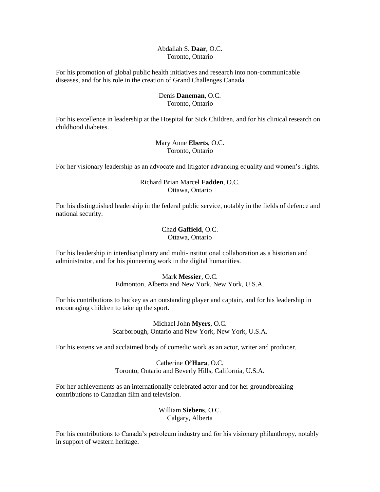# Abdallah S. **Daar**, O.C. Toronto, Ontario

For his promotion of global public health initiatives and research into non-communicable diseases, and for his role in the creation of Grand Challenges Canada.

#### Denis **Daneman**, O.C. Toronto, Ontario

For his excellence in leadership at the Hospital for Sick Children, and for his clinical research on childhood diabetes.

# Mary Anne **Eberts**, O.C. Toronto, Ontario

For her visionary leadership as an advocate and litigator advancing equality and women's rights.

# Richard Brian Marcel **Fadden**, O.C. Ottawa, Ontario

For his distinguished leadership in the federal public service, notably in the fields of defence and national security.

> Chad **Gaffield**, O.C. Ottawa, Ontario

For his leadership in interdisciplinary and multi-institutional collaboration as a historian and administrator, and for his pioneering work in the digital humanities.

# Mark **Messier**, O.C.

Edmonton, Alberta and New York, New York, U.S.A.

For his contributions to hockey as an outstanding player and captain, and for his leadership in encouraging children to take up the sport.

> Michael John **Myers**, O.C. Scarborough, Ontario and New York, New York, U.S.A.

For his extensive and acclaimed body of comedic work as an actor, writer and producer.

Catherine **O'Hara**, O.C. Toronto, Ontario and Beverly Hills, California, U.S.A.

For her achievements as an internationally celebrated actor and for her groundbreaking contributions to Canadian film and television.

> William **Siebens**, O.C. Calgary, Alberta

For his contributions to Canada's petroleum industry and for his visionary philanthropy, notably in support of western heritage.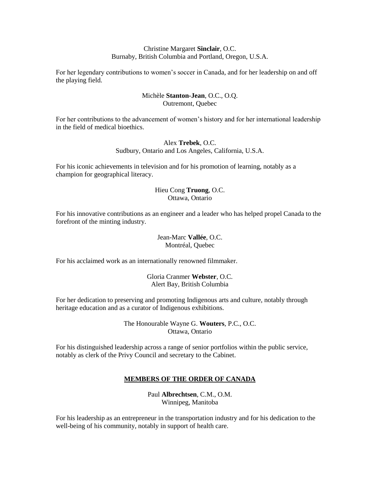## Christine Margaret **Sinclair**, O.C. Burnaby, British Columbia and Portland, Oregon, U.S.A.

For her legendary contributions to women's soccer in Canada, and for her leadership on and off the playing field.

# Michèle **Stanton-Jean**, O.C., O.Q. Outremont, Quebec

For her contributions to the advancement of women's history and for her international leadership in the field of medical bioethics.

# Alex **Trebek**, O.C. Sudbury, Ontario and Los Angeles, California, U.S.A.

For his iconic achievements in television and for his promotion of learning, notably as a champion for geographical literacy.

# Hieu Cong **Truong**, O.C. Ottawa, Ontario

For his innovative contributions as an engineer and a leader who has helped propel Canada to the forefront of the minting industry.

# Jean-Marc **Vallée**, O.C. Montréal, Quebec

For his acclaimed work as an internationally renowned filmmaker.

# Gloria Cranmer **Webster**, O.C. Alert Bay, British Columbia

For her dedication to preserving and promoting Indigenous arts and culture, notably through heritage education and as a curator of Indigenous exhibitions.

# The Honourable Wayne G. **Wouters**, P.C., O.C. Ottawa, Ontario

For his distinguished leadership across a range of senior portfolios within the public service, notably as clerk of the Privy Council and secretary to the Cabinet.

# **MEMBERS OF THE ORDER OF CANADA**

Paul **Albrechtsen**, C.M., O.M. Winnipeg, Manitoba

For his leadership as an entrepreneur in the transportation industry and for his dedication to the well-being of his community, notably in support of health care.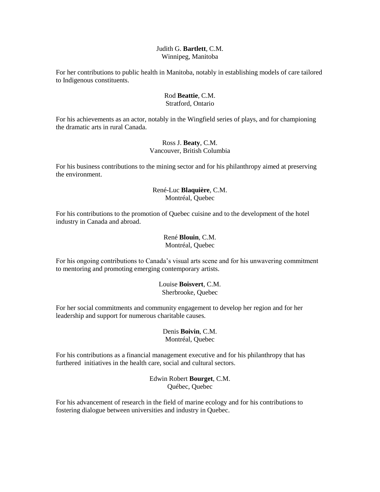#### Judith G. **Bartlett**, C.M. Winnipeg, Manitoba

For her contributions to public health in Manitoba, notably in establishing models of care tailored to Indigenous constituents.

#### Rod **Beattie**, C.M. Stratford, Ontario

For his achievements as an actor, notably in the Wingfield series of plays, and for championing the dramatic arts in rural Canada.

# Ross J. **Beaty**, C.M. Vancouver, British Columbia

For his business contributions to the mining sector and for his philanthropy aimed at preserving the environment.

# René-Luc **Blaquière**, C.M. Montréal, Quebec

For his contributions to the promotion of Quebec cuisine and to the development of the hotel industry in Canada and abroad.

# René **Blouin**, C.M. Montréal, Quebec

For his ongoing contributions to Canada's visual arts scene and for his unwavering commitment to mentoring and promoting emerging contemporary artists.

# Louise **Boisvert**, C.M. Sherbrooke, Quebec

For her social commitments and community engagement to develop her region and for her leadership and support for numerous charitable causes.

# Denis **Boivin**, C.M. Montréal, Quebec

For his contributions as a financial management executive and for his philanthropy that has furthered initiatives in the health care, social and cultural sectors.

# Edwin Robert **Bourget**, C.M. Québec, Quebec

For his advancement of research in the field of marine ecology and for his contributions to fostering dialogue between universities and industry in Quebec.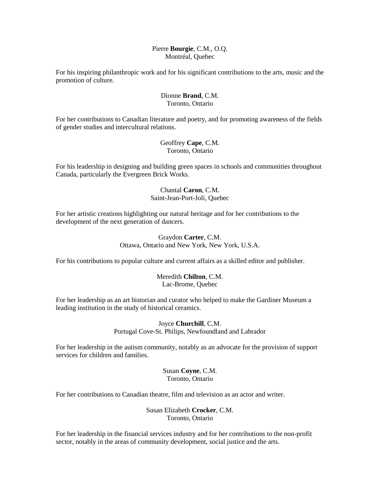#### Pierre **Bourgie**, C.M., O.Q. Montréal, Quebec

For his inspiring philanthropic work and for his significant contributions to the arts, music and the promotion of culture.

# Dionne **Brand**, C.M. Toronto, Ontario

For her contributions to Canadian literature and poetry, and for promoting awareness of the fields of gender studies and intercultural relations.

# Geoffrey **Cape**, C.M. Toronto, Ontario

For his leadership in designing and building green spaces in schools and communities throughout Canada, particularly the Evergreen Brick Works.

# Chantal **Caron**, C.M. Saint-Jean-Port-Joli, Quebec

For her artistic creations highlighting our natural heritage and for her contributions to the development of the next generation of dancers.

# Graydon **Carter**, C.M. Ottawa, Ontario and New York, New York, U.S.A.

For his contributions to popular culture and current affairs as a skilled editor and publisher.

# Meredith **Chilton**, C.M. Lac-Brome, Quebec

For her leadership as an art historian and curator who helped to make the Gardiner Museum a leading institution in the study of historical ceramics.

> Joyce **Churchill**, C.M. Portugal Cove-St. Philips, Newfoundland and Labrador

For her leadership in the autism community, notably as an advocate for the provision of support services for children and families.

# Susan **Coyne**, C.M. Toronto, Ontario

For her contributions to Canadian theatre, film and television as an actor and writer.

#### Susan Elizabeth **Crocker**, C.M. Toronto, Ontario

For her leadership in the financial services industry and for her contributions to the non-profit sector, notably in the areas of community development, social justice and the arts.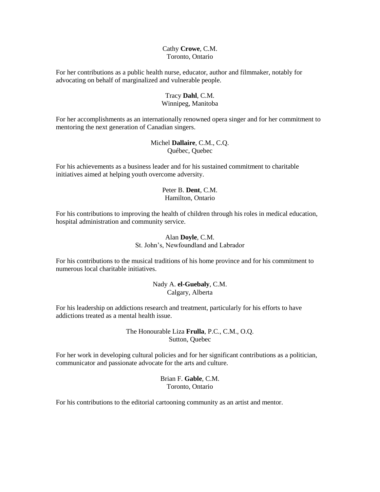#### Cathy **Crowe**, C.M. Toronto, Ontario

For her contributions as a public health nurse, educator, author and filmmaker, notably for advocating on behalf of marginalized and vulnerable people.

# Tracy **Dahl**, C.M. Winnipeg, Manitoba

For her accomplishments as an internationally renowned opera singer and for her commitment to mentoring the next generation of Canadian singers.

# Michel **Dallaire**, C.M., C.Q. Québec, Quebec

For his achievements as a business leader and for his sustained commitment to charitable initiatives aimed at helping youth overcome adversity.

# Peter B. **Dent**, C.M. Hamilton, Ontario

For his contributions to improving the health of children through his roles in medical education, hospital administration and community service.

#### Alan **Doyle**, C.M. St. John's, Newfoundland and Labrador

For his contributions to the musical traditions of his home province and for his commitment to numerous local charitable initiatives.

# Nady A. **el-Guebaly**, C.M. Calgary, Alberta

For his leadership on addictions research and treatment, particularly for his efforts to have addictions treated as a mental health issue.

#### The Honourable Liza **Frulla**, P.C., C.M., O.Q. Sutton, Quebec

For her work in developing cultural policies and for her significant contributions as a politician, communicator and passionate advocate for the arts and culture.

# Brian F. **Gable**, C.M. Toronto, Ontario

For his contributions to the editorial cartooning community as an artist and mentor.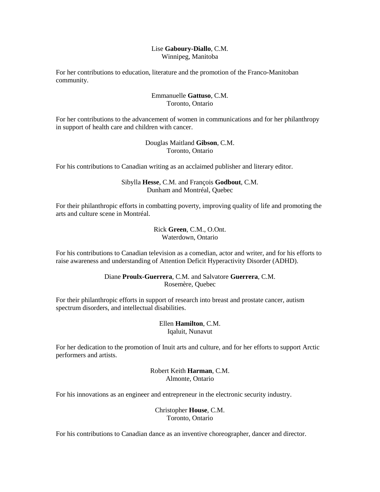# Lise **Gaboury-Diallo**, C.M. Winnipeg, Manitoba

For her contributions to education, literature and the promotion of the Franco-Manitoban community.

# Emmanuelle **Gattuso**, C.M. Toronto, Ontario

For her contributions to the advancement of women in communications and for her philanthropy in support of health care and children with cancer.

# Douglas Maitland **Gibson**, C.M. Toronto, Ontario

For his contributions to Canadian writing as an acclaimed publisher and literary editor.

# Sibylla **Hesse**, C.M. and François **Godbout**, C.M. Dunham and Montréal, Quebec

For their philanthropic efforts in combatting poverty, improving quality of life and promoting the arts and culture scene in Montréal.

> Rick **Green**, C.M., O.Ont. Waterdown, Ontario

For his contributions to Canadian television as a comedian, actor and writer, and for his efforts to raise awareness and understanding of Attention Deficit Hyperactivity Disorder (ADHD).

# Diane **Proulx-Guerrera**, C.M. and Salvatore **Guerrera**, C.M. Rosemère, Quebec

For their philanthropic efforts in support of research into breast and prostate cancer, autism spectrum disorders, and intellectual disabilities.

# Ellen **Hamilton**, C.M. Iqaluit, Nunavut

For her dedication to the promotion of Inuit arts and culture, and for her efforts to support Arctic performers and artists.

> Robert Keith **Harman**, C.M. Almonte, Ontario

For his innovations as an engineer and entrepreneur in the electronic security industry.

Christopher **House**, C.M. Toronto, Ontario

For his contributions to Canadian dance as an inventive choreographer, dancer and director.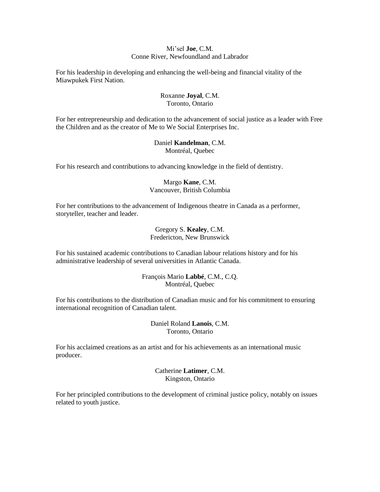# Mi'sel **Joe**, C.M. Conne River, Newfoundland and Labrador

For his leadership in developing and enhancing the well-being and financial vitality of the Miawpukek First Nation.

# Roxanne **Joyal**, C.M. Toronto, Ontario

For her entrepreneurship and dedication to the advancement of social justice as a leader with Free the Children and as the creator of Me to We Social Enterprises Inc.

#### Daniel **Kandelman**, C.M. Montréal, Quebec

For his research and contributions to advancing knowledge in the field of dentistry.

# Margo **Kane**, C.M. Vancouver, British Columbia

For her contributions to the advancement of Indigenous theatre in Canada as a performer, storyteller, teacher and leader.

> Gregory S. **Kealey**, C.M. Fredericton, New Brunswick

For his sustained academic contributions to Canadian labour relations history and for his administrative leadership of several universities in Atlantic Canada.

> François Mario **Labbé**, C.M., C.Q. Montréal, Quebec

For his contributions to the distribution of Canadian music and for his commitment to ensuring international recognition of Canadian talent.

> Daniel Roland **Lanois**, C.M. Toronto, Ontario

For his acclaimed creations as an artist and for his achievements as an international music producer.

> Catherine **Latimer**, C.M. Kingston, Ontario

For her principled contributions to the development of criminal justice policy, notably on issues related to youth justice.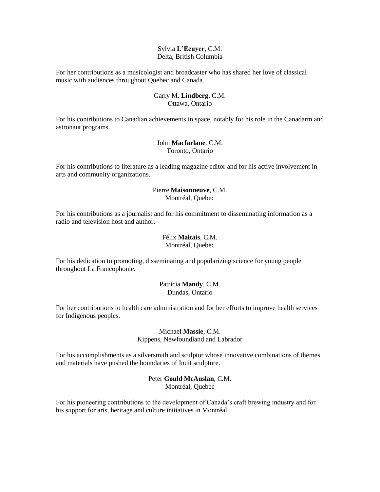# Sylvia **L'Écuyer**, C.M. Delta, British Columbia

For her contributions as a musicologist and broadcaster who has shared her love of classical music with audiences throughout Quebec and Canada.

# Garry M. **Lindberg**, C.M. Ottawa, Ontario

For his contributions to Canadian achievements in space, notably for his role in the Canadarm and astronaut programs.

# John **Macfarlane**, C.M. Toronto, Ontario

For his contributions to literature as a leading magazine editor and for his active involvement in arts and community organizations.

# Pierre **Maisonneuve**, C.M. Montréal, Quebec

For his contributions as a journalist and for his commitment to disseminating information as a radio and television host and author.

# Félix **Maltais**, C.M. Montréal, Quebec

For his dedication to promoting, disseminating and popularizing science for young people throughout La Francophonie.

# Patricia **Mandy**, C.M. Dundas, Ontario

For her contributions to health care administration and for her efforts to improve health services for Indigenous peoples.

#### Michael **Massie**, C.M. Kippens, Newfoundland and Labrador

For his accomplishments as a silversmith and sculptor whose innovative combinations of themes and materials have pushed the boundaries of Inuit sculpture.

# Peter **Gould McAuslan**, C.M. Montréal, Quebec

For his pioneering contributions to the development of Canada's craft brewing industry and for his support for arts, heritage and culture initiatives in Montréal.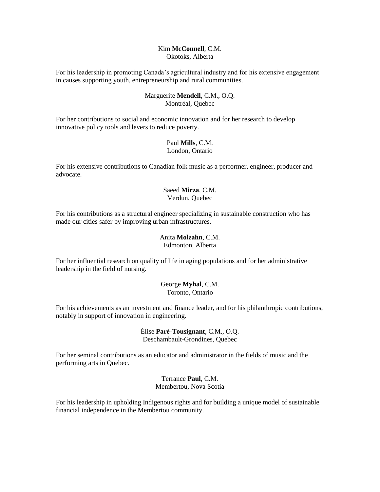#### Kim **McConnell**, C.M. Okotoks, Alberta

For his leadership in promoting Canada's agricultural industry and for his extensive engagement in causes supporting youth, entrepreneurship and rural communities.

## Marguerite **Mendell**, C.M., O.Q. Montréal, Quebec

For her contributions to social and economic innovation and for her research to develop innovative policy tools and levers to reduce poverty.

#### Paul **Mills**, C.M. London, Ontario

For his extensive contributions to Canadian folk music as a performer, engineer, producer and advocate.

# Saeed **Mirza**, C.M. Verdun, Quebec

For his contributions as a structural engineer specializing in sustainable construction who has made our cities safer by improving urban infrastructures.

# Anita **Molzahn**, C.M.

Edmonton, Alberta

For her influential research on quality of life in aging populations and for her administrative leadership in the field of nursing.

# George **Myhal**, C.M. Toronto, Ontario

For his achievements as an investment and finance leader, and for his philanthropic contributions, notably in support of innovation in engineering.

> Élise **Paré-Tousignant**, C.M., O.Q. Deschambault-Grondines, Quebec

For her seminal contributions as an educator and administrator in the fields of music and the performing arts in Quebec.

> Terrance **Paul**, C.M. Membertou, Nova Scotia

For his leadership in upholding Indigenous rights and for building a unique model of sustainable financial independence in the Membertou community.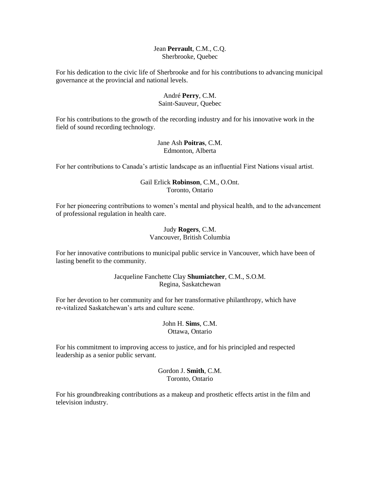#### Jean **Perrault**, C.M., C.Q. Sherbrooke, Quebec

For his dedication to the civic life of Sherbrooke and for his contributions to advancing municipal governance at the provincial and national levels.

# André **Perry**, C.M.

# Saint-Sauveur, Quebec

For his contributions to the growth of the recording industry and for his innovative work in the field of sound recording technology.

# Jane Ash **Poitras**, C.M. Edmonton, Alberta

For her contributions to Canada's artistic landscape as an influential First Nations visual artist.

# Gail Erlick **Robinson**, C.M., O.Ont. Toronto, Ontario

For her pioneering contributions to women's mental and physical health, and to the advancement of professional regulation in health care.

#### Judy **Rogers**, C.M. Vancouver, British Columbia

For her innovative contributions to municipal public service in Vancouver, which have been of lasting benefit to the community.

# Jacqueline Fanchette Clay **Shumiatcher**, C.M., S.O.M. Regina, Saskatchewan

For her devotion to her community and for her transformative philanthropy, which have re-vitalized Saskatchewan's arts and culture scene.

# John H. **Sims**, C.M. Ottawa, Ontario

For his commitment to improving access to justice, and for his principled and respected leadership as a senior public servant.

# Gordon J. **Smith**, C.M. Toronto, Ontario

For his groundbreaking contributions as a makeup and prosthetic effects artist in the film and television industry.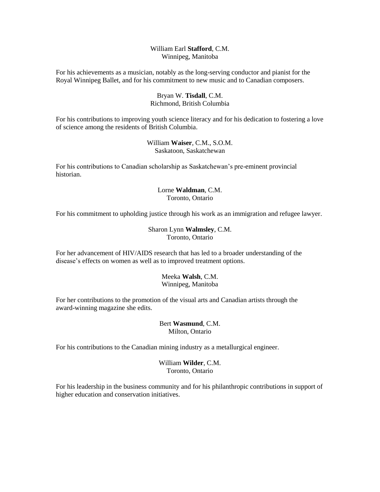# William Earl **Stafford**, C.M. Winnipeg, Manitoba

For his achievements as a musician, notably as the long-serving conductor and pianist for the Royal Winnipeg Ballet, and for his commitment to new music and to Canadian composers.

# Bryan W. **Tisdall**, C.M. Richmond, British Columbia

For his contributions to improving youth science literacy and for his dedication to fostering a love of science among the residents of British Columbia.

> William **Waiser**, C.M., S.O.M. Saskatoon, Saskatchewan

For his contributions to Canadian scholarship as Saskatchewan's pre-eminent provincial historian.

# Lorne **Waldman**, C.M. Toronto, Ontario

For his commitment to upholding justice through his work as an immigration and refugee lawyer.

# Sharon Lynn **Walmsley**, C.M. Toronto, Ontario

For her advancement of HIV/AIDS research that has led to a broader understanding of the disease's effects on women as well as to improved treatment options.

# Meeka **Walsh**, C.M. Winnipeg, Manitoba

For her contributions to the promotion of the visual arts and Canadian artists through the award-winning magazine she edits.

# Bert **Wasmund**, C.M. Milton, Ontario

For his contributions to the Canadian mining industry as a metallurgical engineer.

William **Wilder**, C.M. Toronto, Ontario

For his leadership in the business community and for his philanthropic contributions in support of higher education and conservation initiatives.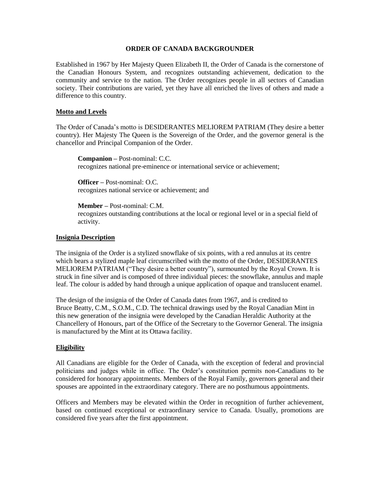#### **ORDER OF CANADA BACKGROUNDER**

Established in 1967 by Her Majesty Queen Elizabeth II, the Order of Canada is the cornerstone of the Canadian Honours System, and recognizes outstanding achievement, dedication to the community and service to the nation. The Order recognizes people in all sectors of Canadian society. Their contributions are varied, yet they have all enriched the lives of others and made a difference to this country.

# **Motto and Levels**

The Order of Canada's motto is DESIDERANTES MELIOREM PATRIAM (They desire a better country). Her Majesty The Queen is the Sovereign of the Order, and the governor general is the chancellor and Principal Companion of the Order.

**Companion –** Post-nominal: C.C. recognizes national pre-eminence or international service or achievement;

**Officer –** Post-nominal: O.C. recognizes national service or achievement; and

**Member –** Post-nominal: C.M. recognizes outstanding contributions at the local or regional level or in a special field of activity.

# **Insignia Description**

The insignia of the Order is a stylized snowflake of six points, with a red annulus at its centre which bears a stylized maple leaf circumscribed with the motto of the Order, DESIDERANTES MELIOREM PATRIAM ("They desire a better country"), surmounted by the Royal Crown. It is struck in fine silver and is composed of three individual pieces: the snowflake, annulus and maple leaf. The colour is added by hand through a unique application of opaque and translucent enamel.

The design of the insignia of the Order of Canada dates from 1967, and is credited to Bruce Beatty, C.M., S.O.M., C.D. The technical drawings used by the Royal Canadian Mint in this new generation of the insignia were developed by the Canadian Heraldic Authority at the Chancellery of Honours, part of the Office of the Secretary to the Governor General. The insignia is manufactured by the Mint at its Ottawa facility.

# **Eligibility**

All Canadians are eligible for the Order of Canada, with the exception of federal and provincial politicians and judges while in office. The Order's constitution permits non-Canadians to be considered for honorary appointments. Members of the Royal Family, governors general and their spouses are appointed in the extraordinary category. There are no posthumous appointments.

Officers and Members may be elevated within the Order in recognition of further achievement, based on continued exceptional or extraordinary service to Canada. Usually, promotions are considered five years after the first appointment.